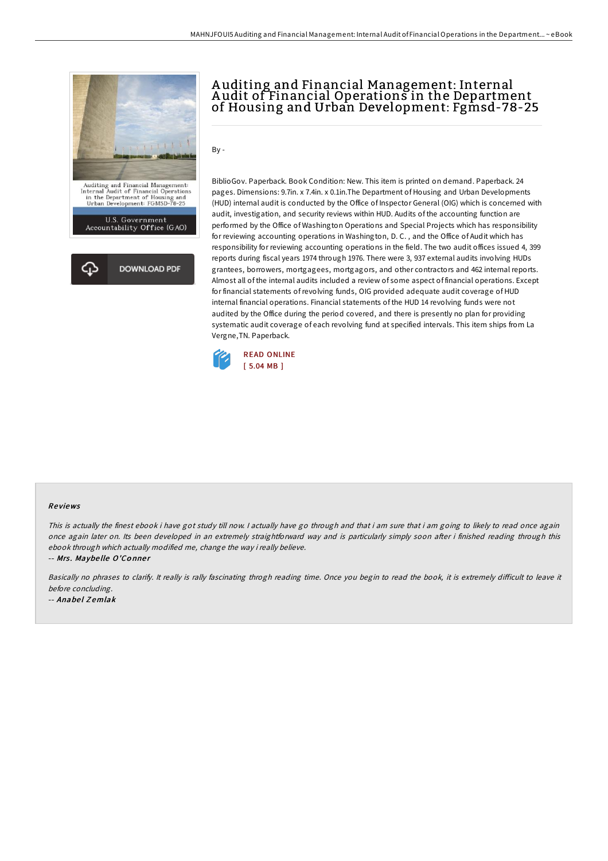

## A uditing and Financial Management: Internal A udit of Financial Operations in the Department of Housing and Urban Development: Fgmsd-78-25

 $Bv -$ 

BiblioGov. Paperback. Book Condition: New. This item is printed on demand. Paperback. 24 pages. Dimensions: 9.7in. x 7.4in. x 0.1in.The Department of Housing and Urban Developments (HUD) internal audit is conducted by the Office of Inspector General (OIG) which is concerned with audit, investigation, and security reviews within HUD. Audits of the accounting function are performed by the Office of Washington Operations and Special Projects which has responsibility for reviewing accounting operations in Washington, D. C. , and the Office of Audit which has responsibility for reviewing accounting operations in the field. The two audit offices issued 4, 399 reports during fiscal years 1974 through 1976. There were 3, 937 external audits involving HUDs grantees, borrowers, mortgagees, mortgagors, and other contractors and 462 internal reports. Almost all of the internal audits included a review of some aspect of financial operations. Except for financial statements ofrevolving funds, OIG provided adequate audit coverage of HUD internal financial operations. Financial statements of the HUD 14 revolving funds were not audited by the Office during the period covered, and there is presently no plan for providing systematic audit coverage of each revolving fund at specified intervals. This item ships from La Vergne,TN. Paperback.



## Re views

This is actually the finest ebook i have got study till now. I actually have go through and that i am sure that i am going to likely to read once again once again later on. Its been developed in an extremely straightforward way and is particularly simply soon after i finished reading through this ebook through which actually modified me, change the way i really believe.

-- Mrs. Maybelle O'Conner

Basically no phrases to clarify. It really is rally fascinating throgh reading time. Once you begin to read the book, it is extremely difficult to leave it before concluding.

-- Anabel Zemlak